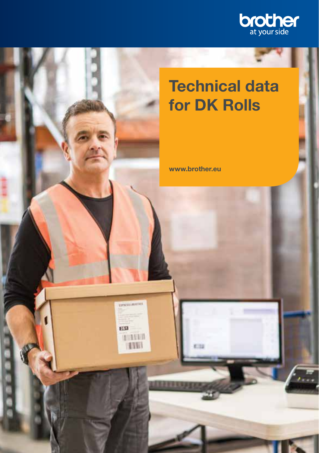

# **Technical data** for DK Rolls

www.brother.eu

**UPATILINATES** 

TARES

**FEST** 

**DEED**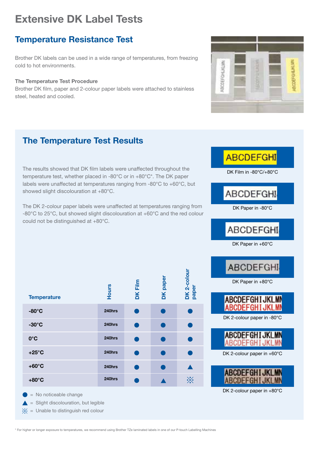### **Temperature Resistance Test**

Brother DK labels can be used in a wide range of temperatures, from freezing cold to hot environments.

#### The Temperature Test Procedure

Brother DK film, paper and 2-colour paper labels were attached to stainless steel, heated and cooled.



#### **The Temperature Test Results**

The results showed that DK film labels were unaffected throughout the temperature test, whether placed in -80 $^{\circ}$ C or in +80 $^{\circ}$ C\*. The DK paper labels were unaffected at temperatures ranging from  $-80^{\circ}$ C to  $+60^{\circ}$ C, but showed slight discolouration at  $+80^{\circ}$ C.

The DK 2-colour paper labels were unaffected at temperatures ranging from -80°C to 25°C, but showed slight discolouration at +60°C and the red colour could not be distinguished at  $+80^{\circ}$ C.

| <b>Temperature</b> | <b>Hours</b> | <b>DK Film</b> | DK paper | DK 2-colour<br>paper |
|--------------------|--------------|----------------|----------|----------------------|
| $-80^\circ$ C      | 240hrs       |                |          |                      |
| $-30^{\circ}$ C    | 240hrs       |                |          |                      |
| $0^{\circ}$ C      | 240hrs       |                |          |                      |
| $+25^{\circ}$ C    | 240hrs       |                |          |                      |
| $+60^{\circ}$ C    | 240hrs       |                |          |                      |
| $+80^{\circ}$ C    | 240hrs       |                |          | $\cdot$              |
|                    |              |                |          |                      |

 $=$  No noticeable change

- $\triangle$  = Slight discolouration, but legible
- $\frac{1}{2}$  = Unable to distinguish red colour





DK 2-colour paper in  $+80^{\circ}$ C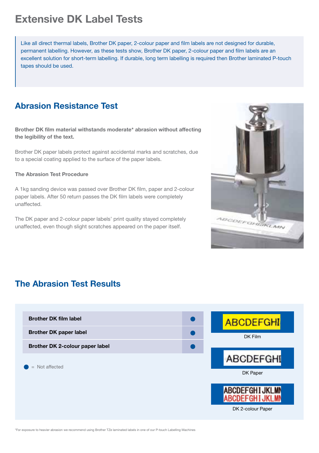Like all direct thermal labels. Brother DK paper, 2-colour paper and film labels are not designed for durable. permanent labelling. However, as these tests show. Brother DK paper, 2-colour paper and film labels are an excellent solution for short-term labelling. If durable, long term labelling is required then Brother laminated P-touch tapes should be used.

#### **Abrasion Resistance Test**

Brother DK film material withstands moderate\* abrasion without affecting the legibility of the text.

Brother DK paper labels protect against accidental marks and scratches, due to a special coating applied to the surface of the paper labels.

#### The Abrasion Test Procedure

A 1kg sanding device was passed over Brother DK film, paper and 2-colour paper labels. After 50 return passes the DK film labels were completely .unaffected

The DK paper and 2-colour paper labels' print quality stayed completely unaffected, even though slight scratches appeared on the paper itself.



#### **The Abrasion Test Results**

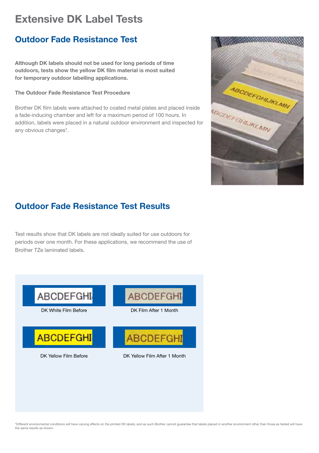### **Outdoor Fade Resistance Test**

Although DK labels should not be used for long periods of time outdoors, tests show the yellow DK film material is most suited for temporary outdoor labelling applications.

#### The Outdoor Fade Resistance Test Procedure

Brother DK film labels were attached to coated metal plates and placed inside a fade-inducing chamber and left for a maximum period of 100 hours. In addition, labels were placed in a natural outdoor environment and inspected for any obvious changes\*.



### **Outdoor Fade Resistance Test Results**

Test results show that DK labels are not ideally suited for use outdoors for periods over one month. For these applications, we recommend the use of Brother TZe laminated labels.



Different environmental conditions will have varying effects on the printed DK labels, and as such Brother cannot guarantee that labels placed in another environment other than those as tested will have the same results as show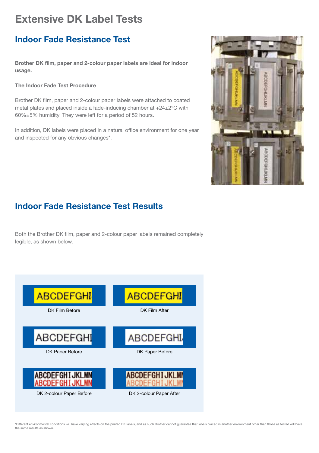#### **Indoor Fade Resistance Test**

Brother DK film, paper and 2-colour paper labels are ideal for indoor usage.

#### The Indoor Fade Test Procedure

Brother DK film, paper and 2-colour paper labels were attached to coated metal plates and placed inside a fade-inducing chamber at  $+24\pm2^{\circ}$ C with  $60\% \pm 5\%$  humidity. They were left for a period of 52 hours.

In addition, DK labels were placed in a natural office environment for one year and inspected for any obvious changes\*.



### **Indoor Fade Resistance Test Results**

Both the Brother DK film, paper and 2-colour paper labels remained completely legible, as shown below.



\*Different environmental conditions will have varying effects on the printed DK labels, and as such Brother cannot guarantee that labels placed in another environment other than those as tested will have the same results as show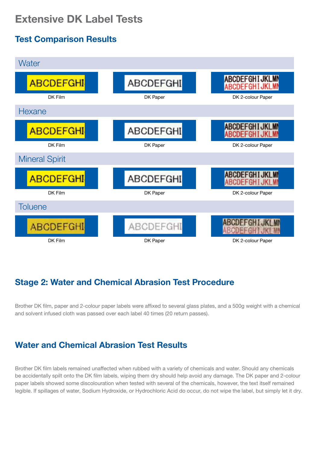## **Test Comparison Results**



### **Stage 2: Water and Chemical Abrasion Test Procedure**

Brother DK film, paper and 2-colour paper labels were affixed to several glass plates, and a 500g weight with a chemical and solvent infused cloth was passed over each label 40 times (20 return passes).

#### **Water and Chemical Abrasion Test Results**

Brother DK film labels remained unaffected when rubbed with a variety of chemicals and water. Should any chemicals be accidentally spilt onto the DK film labels, wiping them dry should help avoid any damage. The DK paper and 2-colour paper labels showed some discolouration when tested with several of the chemicals, however, the text itself remained legible. If spillages of water. Sodium Hydroxide, or Hydrochloric Acid do occur, do not wipe the label, but simply let it dry.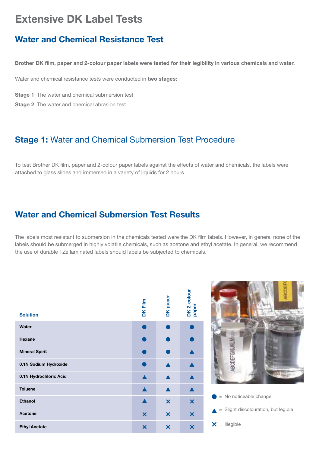#### Water and Chemical Resistance Test

Brother DK film, paper and 2-colour paper labels were tested for their legibility in various chemicals and water.

Water and chemical resistance tests were conducted in two stages:

Stage 1 The water and chemical submersion test

Stage 2 The water and chemical abrasion test

#### **Stage 1:** Water and Chemical Submersion Test Procedure

To test Brother DK film, paper and 2-colour paper labels against the effects of water and chemicals, the labels were attached to glass slides and immersed in a variety of liquids for 2 hours.

#### **Water and Chemical Submersion Test Results**

The labels most resistant to submersion in the chemicals tested were the DK film labels. However, in general none of the labels should be submerged in highly volatile chemicals, such as acetone and ethyl acetate. In general, we recommend the use of durable TZe laminated labels should labels be subjected to chemicals.

| <b>Solution</b>        | <b>DKFilm</b>             | DK paper                  | DK 2-colour<br>paper      |
|------------------------|---------------------------|---------------------------|---------------------------|
| Water                  |                           |                           |                           |
| Hexane                 |                           |                           |                           |
| <b>Mineral Spirit</b>  |                           |                           |                           |
| 0.1N Sodium Hydroxide  |                           |                           |                           |
| 0.1N Hydrochloric Acid |                           |                           |                           |
| <b>Toluene</b>         |                           |                           |                           |
| Ethanol                |                           | $\boldsymbol{\mathsf{x}}$ | $\overline{\mathsf{x}}$   |
| Acetone                | $\boldsymbol{\mathsf{x}}$ | $\boldsymbol{\mathsf{x}}$ | $\boldsymbol{\mathsf{x}}$ |
| <b>Ethyl Acetate</b>   | ×                         | $\boldsymbol{\mathsf{x}}$ | ×                         |



 $\triangle$  = Slight discolouration, but legible

 $X =$  Illegible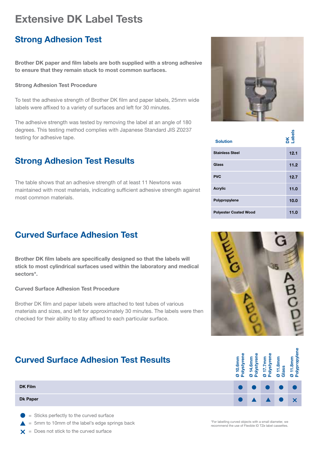#### **Strong Adhesion Test**

Brother DK paper and film labels are both supplied with a strong adhesive to ensure that they remain stuck to most common surfaces.

#### **Strong Adhesion Test Procedure**

To test the adhesive strength of Brother DK film and paper labels, 25mm wide labels were affixed to a variety of surfaces and left for 30 minutes.

The adhesive strength was tested by removing the label at an angle of 180 degrees. This testing method complies with Japanese Standard JIS Z0237 testing for adhesive tape.

#### **Strong Adhesion Test Results**

The table shows that an adhesive strength of at least 11 Newtons was maintained with most materials, indicating sufficient adhesive strength against most common materials

### **Curved Surface Adhesion Test**

Brother DK film labels are specifically designed so that the labels will stick to most cylindrical surfaces used within the laboratory and medical sectors\*.

#### Curved Surface Adhesion Test Procedure

Brother DK film and paper labels were attached to test tubes of various materials and sizes, and left for approximately 30 minutes. The labels were then checked for their ability to stay affixed to each particular surface.

### **Curved Surface Adhesion Test Results**

| <b>Curved Surface Adhesion Test Results</b>                                                                                                                                                                                       |  |  | l.8mm |
|-----------------------------------------------------------------------------------------------------------------------------------------------------------------------------------------------------------------------------------|--|--|-------|
| <b>DK Film</b>                                                                                                                                                                                                                    |  |  |       |
| <b>Dk Paper</b>                                                                                                                                                                                                                   |  |  |       |
| $\alpha$ . The contract of the contract of the contract of the contract of the contract of the contract of the contract of the contract of the contract of the contract of the contract of the contract of the contract of the co |  |  |       |

- $=$  Sticks perfectly to the curved surface
- $= 5$ mm to 10mm of the label's edge springs back
- $\mathsf{x}$  = Does not stick to the curved surface



| <b>Solution</b>              | DK<br>Labels |
|------------------------------|--------------|
| <b>Stainless Steel</b>       | 12.1         |
| Glass                        | 11.2         |
| <b>PVC</b>                   | 12.7         |
| <b>Acrylic</b>               | 11.0         |
| Polypropylene                | 10.0         |
| <b>Polyester Coated Wood</b> | 11.0         |





For labelling curved objects with a small diameter we recommend the use of Flexible ID TZe label cassettes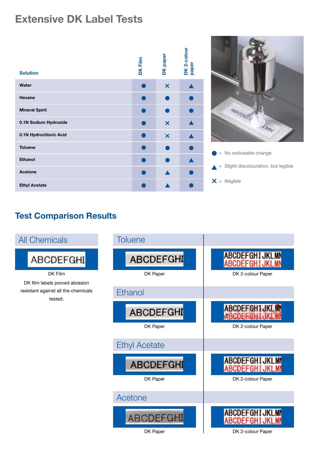| <b>Solution</b>        | <b>DK Film</b> | DK paper                  | DK 2-colour<br>paper |
|------------------------|----------------|---------------------------|----------------------|
| Water                  |                | $\boldsymbol{\mathsf{x}}$ |                      |
| Hexane                 |                |                           |                      |
| <b>Mineral Spirit</b>  |                |                           |                      |
| 0.1N Sodium Hydroxide  |                | ×                         |                      |
| 0.1N Hydrochloric Acid |                | $\boldsymbol{\mathsf{x}}$ |                      |
| <b>Toluene</b>         |                |                           |                      |
| Ethanol                |                |                           |                      |
| Acetone                |                |                           |                      |
| <b>Ethyl Acetate</b>   |                |                           |                      |



 $=$  No noticeable change  $=$  Slight discolouration, but legible

 $X =$  Illegible

### **Test Comparison Results**

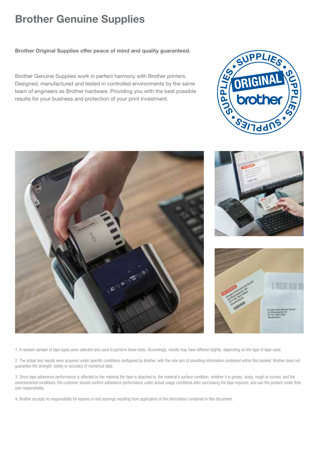# **Brother Genuine Supplies**

Brother Original Supplies offer peace of mind and quality guaranteed.

Brother Genuine Supplies work in perfect harmony with Brother printers. Designed, manufactured and tested in controlled environments by the same team of engineers as Brother hardware. Providing you with the best possible results for your business and protection of your print investment.



1. A random sample of tape types were selected and used to perform these tests. Accordingly, results may have differed slightly, depending on the type of tape used.

2. The actual test results were acquired under specific conditions configured by Brother, with the sole aim of providing information contained within this booklet. Brother does not guarantee the strength, safety or accuracy of numerical data.

3. Since tape adherence performance is affected by the material the tape is attached to, the material's surface condition, whether it is greasy, dusty, rough or curved, and the environmental conditions, the customer should confirm adherence performance under actual usage conditions after purchasing the tape required, and use the product under their own responsibility.

4. Brother accepts no responsibility for injuries or lost earnings resulting from application of the information contained in this document.

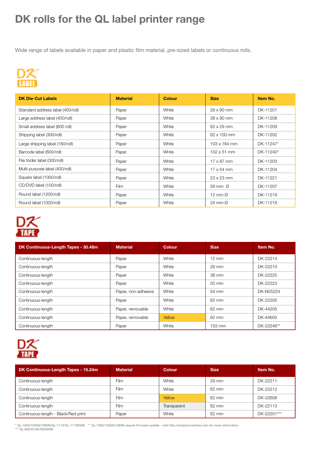# DK rolls for the QL label printer range

Wide range of labels available in paper and plastic film material, pre-sized labels or continuous rolls.



| <b>DK Die-Cut Labels</b>          | <b>Material</b> | Colour | <b>Size</b>         | Item No.  |
|-----------------------------------|-----------------|--------|---------------------|-----------|
| Standard address label (400/roll) | Paper           | White  | 29 x 90 mm          | DK-11201  |
| Large address label (400/roll)    | Paper           | White  | 38 x 90 mm          | DK-11208  |
| Small address label (800 roll)    | Paper           | White  | 62 x 29 mm          | DK-11209  |
| Shipping label (300/roll)         | Paper           | White  | 62 x 100 mm         | DK-11202  |
| Large shipping label (180/roll)   | Paper           | White  | 103 x 164 mm        | DK-11247* |
| Barcode label (600/roll)          | Paper           | White  | $102 \times 51$ mm  | DK-11240* |
| File folder label (300/roll)      | Paper           | White  | $17 \times 87$ mm   | DK-11203  |
| Multi-purpose label (400/roll)    | Paper           | White  | $17 \times 54$ mm   | DK-11204  |
| Square label (1000/roll)          | Paper           | White  | $23 \times 23$ mm   | DK-11221  |
| CD/DVD label (100/roll)           | Film            | White  | 58 mm Ø             | DK-11207  |
| Round label (1200/roll)           | Paper           | White  | 12 mm $\varnothing$ | DK-11219  |
| Round label (1000/roll)           | Paper           | White  | 24 mm Ø             | DK-11218  |



| DK Continuous-Length Tapes - 30.48m | <b>Material</b>     | Colour | <b>Size</b>      | Item No.   |
|-------------------------------------|---------------------|--------|------------------|------------|
| Continuous-length                   | Paper               | White  | $12 \text{ mm}$  | DK-22214   |
| Continuous-length                   | Paper               | White  | 29 mm            | DK-22210   |
| Continuous-length                   | Paper               | White  | 38 mm            | DK-22225   |
| Continuous-length                   | Paper               | White  | 50 mm            | DK-22223   |
| Continuous-length                   | Paper, non-adhesive | White  | 54 mm            | DK-N55224  |
| Continuous-lenath                   | Paper               | White  | 62 mm            | DK-22205   |
| Continuous-length                   | Paper, removable    | White  | 62 mm            | DK-44205   |
| Continuous-length                   | Paper, removable    | Yellow | 62 mm            | DK-44605   |
| Continuous-lenath                   | Paper               | White  | $103 \text{ mm}$ | DK-22246** |



| DK Continuous-Length Tapes - 15.24m | <b>Material</b> | Colour      | <b>Size</b> | Item No.    |
|-------------------------------------|-----------------|-------------|-------------|-------------|
| Continuous-length                   | Film            | White       | 29 mm       | DK-22211    |
| Continuous-length                   | Film            | White       | 62 mm       | DK-22212    |
| Continuous-length                   | Film            | Yellow      | 62 mm       | DK-22606    |
| Continuous-length                   | Film            | Transparent | 62 mm       | DK-22113    |
| Continuous-length - Black/Red print | Paper           | White       | 62 mm       | DK-22251*** |

\* QL-1050/1050N/1060N/QL-1110/QL-1110NWB. \*\* QL-1050/1050N/1060N require firmware update - visit http://solutions.brother.com for more informatior<br>\*\*\* QL-800/810W/820NWB